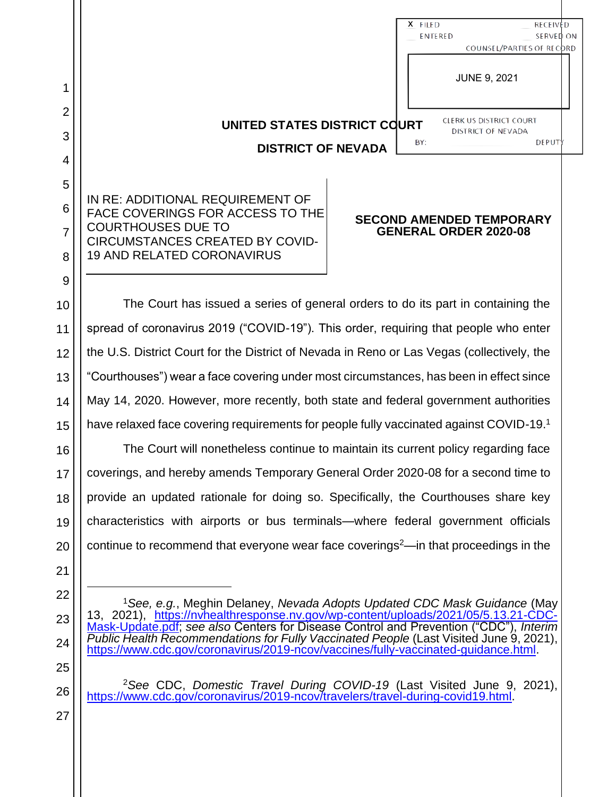|                          |                                                                                                   | X FILED<br><b>ENTERED</b>                                       | <b>RECEIVED</b><br>SERVED ON<br>COUNSEL/PARTIES OF RECORD |
|--------------------------|---------------------------------------------------------------------------------------------------|-----------------------------------------------------------------|-----------------------------------------------------------|
| 1                        |                                                                                                   | <b>JUNE 9, 2021</b>                                             |                                                           |
| $\overline{2}$<br>3<br>4 | UNITED STATES DISTRICT COURT<br><b>DISTRICT OF NEVADA</b>                                         | CLERK US DISTRICT COURT<br><b>DISTRICT OF NEVADA</b><br>BY:     | DEPUTY                                                    |
| 5<br>6<br>$\overline{7}$ | IN RE: ADDITIONAL REQUIREMENT OF<br>FACE COVERINGS FOR ACCESS TO THE<br><b>COURTHOUSES DUE TO</b> | <b>SECOND AMENDED TEMPORARY</b><br><b>GENERAL ORDER 2020-08</b> |                                                           |

The Court has issued a series of general orders to do its part in containing the spread of coronavirus 2019 ("COVID-19"). This order, requiring that people who enter the U.S. District Court for the District of Nevada in Reno or Las Vegas (collectively, the "Courthouses") wear a face covering under most circumstances, has been in effect since May 14, 2020. However, more recently, both state and federal government authorities have relaxed face covering requirements for people fully vaccinated against COVID-19.<sup>1</sup>

CIRCUMSTANCES CREATED BY COVID-

19 AND RELATED CORONAVIRUS

The Court will nonetheless continue to maintain its current policy regarding face coverings, and hereby amends Temporary General Order 2020-08 for a second time to provide an updated rationale for doing so. Specifically, the Courthouses share key characteristics with airports or bus terminals—where federal government officials continue to recommend that everyone wear face coverings<sup>2</sup>—in that proceedings in the

<sup>1</sup>*See, e.g.*, Meghin Delaney, *Nevada Adopts Updated CDC Mask Guidance* (May 13, 2021), https://nvhealthresponse.nv.gov/wp-content/uploads/2021/05/5.13.21-CDC-Mask-Update.pdf; *see also* Centers for Disease Control and Prevention ("CDC"), *Interim Public Health Recommendations for Fully Vaccinated People* (Last Visited June 9, 2021), https://www.cdc.gov/coronavirus/2019-ncov/vaccines/fully-vaccinated-guidance.html.

<sup>2</sup>*See* CDC, *Domestic Travel During COVID-19* (Last Visited June 9, 2021), https://www.cdc.gov/coronavirus/2019-ncov/travelers/travel-during-covid19.html.

27

8

9

10

11

12

13

14

15

16

17

18

19

20

21

22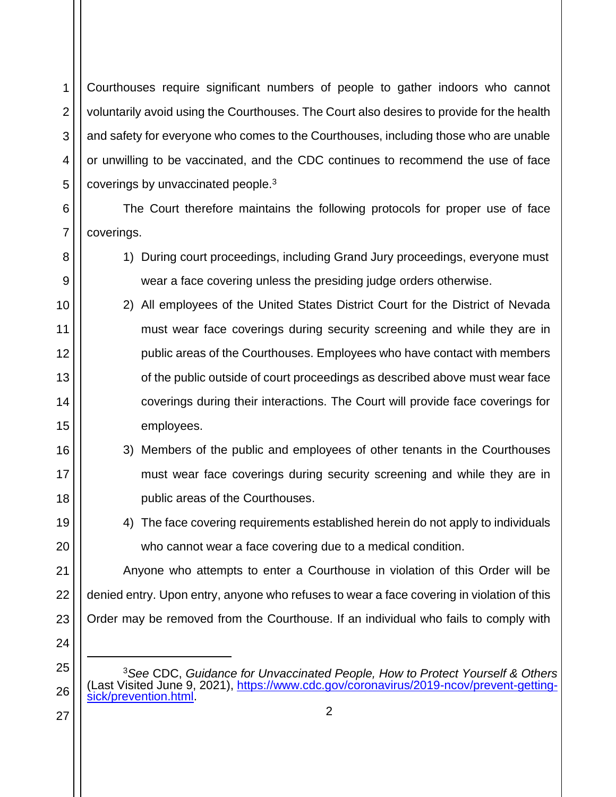Courthouses require significant numbers of people to gather indoors who cannot voluntarily avoid using the Courthouses. The Court also desires to provide for the health and safety for everyone who comes to the Courthouses, including those who are unable or unwilling to be vaccinated, and the CDC continues to recommend the use of face coverings by unvaccinated people.<sup>3</sup>

The Court therefore maintains the following protocols for proper use of face coverings.

- 1) During court proceedings, including Grand Jury proceedings, everyone must wear a face covering unless the presiding judge orders otherwise.
- 2) All employees of the United States District Court for the District of Nevada must wear face coverings during security screening and while they are in public areas of the Courthouses. Employees who have contact with members of the public outside of court proceedings as described above must wear face coverings during their interactions. The Court will provide face coverings for employees.
- 3) Members of the public and employees of other tenants in the Courthouses must wear face coverings during security screening and while they are in public areas of the Courthouses.
	- 4) The face covering requirements established herein do not apply to individuals who cannot wear a face covering due to a medical condition.

22 23 Anyone who attempts to enter a Courthouse in violation of this Order will be denied entry. Upon entry, anyone who refuses to wear a face covering in violation of this Order may be removed from the Courthouse. If an individual who fails to comply with

- <sup>3</sup>*See* CDC, *Guidance for Unvaccinated People, How to Protect Yourself & Others* (Last Visited June 9, 2021), https://www.cdc.gov/coronavirus/2019-ncov/prevent-gettingsick/prevention.html.
- 27

1

2

3

4

5

6

7

8

9

10

11

12

13

14

15

16

17

18

19

20

21

24

25

26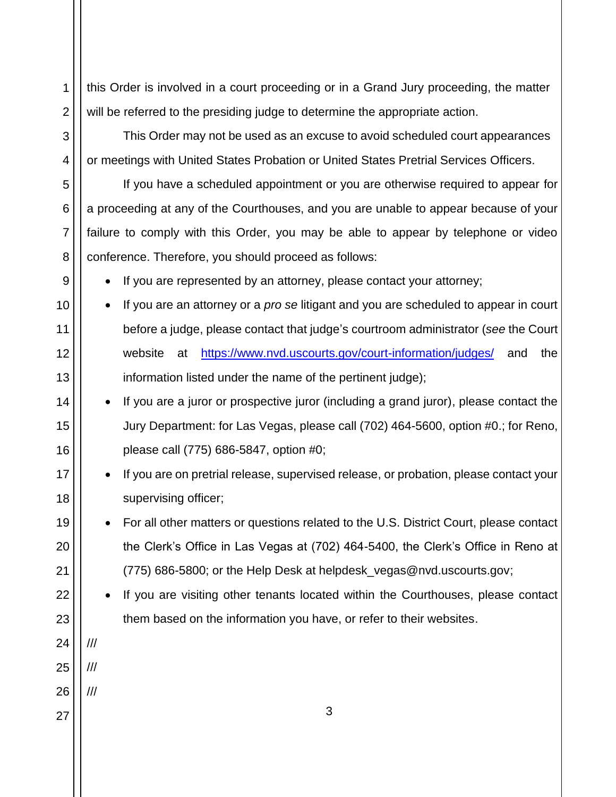this Order is involved in a court proceeding or in a Grand Jury proceeding, the matter will be referred to the presiding judge to determine the appropriate action.

This Order may not be used as an excuse to avoid scheduled court appearances or meetings with United States Probation or United States Pretrial Services Officers.

If you have a scheduled appointment or you are otherwise required to appear for a proceeding at any of the Courthouses, and you are unable to appear because of your failure to comply with this Order, you may be able to appear by telephone or video conference. Therefore, you should proceed as follows:

If you are represented by an attorney, please contact your attorney;

- If you are an attorney or a *pro se* litigant and you are scheduled to appear in court before a judge, please contact that judge's courtroom administrator (*see* the Court website at https://www.nvd.uscourts.gov/court-information/judges/ and the information listed under the name of the pertinent judge);
	- If you are a juror or prospective juror (including a grand juror), please contact the Jury Department: for Las Vegas, please call (702) 464-5600, option #0.; for Reno, please call (775) 686-5847, option #0;
	- If you are on pretrial release, supervised release, or probation, please contact your supervising officer;
- For all other matters or questions related to the U.S. District Court, please contact the Clerk's Office in Las Vegas at (702) 464-5400, the Clerk's Office in Reno at (775) 686-5800; or the Help Desk at helpdesk\_vegas@nvd.uscourts.gov;
	- If you are visiting other tenants located within the Courthouses, please contact them based on the information you have, or refer to their websites.
- 15 16 17 18 19 20 21 22 23

1

2

3

4

5

6

7

8

9

10

11

12

13

14

- 24
- 25

///

///

///

- 26
- 27